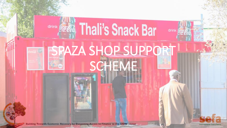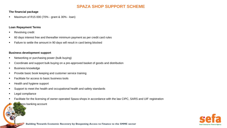## **SPAZA SHOP SUPPORT SCHEME**

#### **The financial package**

Maximum of R15 000 (70% - grant & 30% - loan)

#### **Loan Repayment Terms**

- Revolving credit
- 60 days interest free and thereafter minimum payment as per credit card rules
- Failure to settle the amount in 90 days will result in card being blocked

#### **Business development support**

- Networking or purchasing power (bulk buying)
- Coordinate and support bulk buying on a pre-approved basket of goods and distribution
- Business knowledge
- Provide basic book keeping and customer service training
- Facilitate for access to basic business tools
- Health and hygiene support
- Support to meet the health and occupational health and safety standards
- Legal compliance
- Facilitate for the licensing of owner-operated Spaza shops in accordance with the law CIPC, SARS and UIF registration

**Business banking account** 



Building Towards Economic Recovery by Deepening Access to Finance to the SMME sector